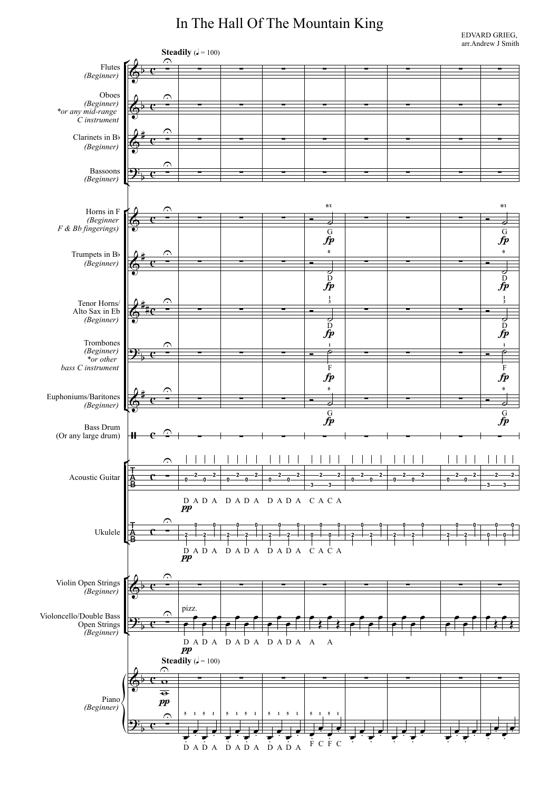## In The Hall Of The Mountain King



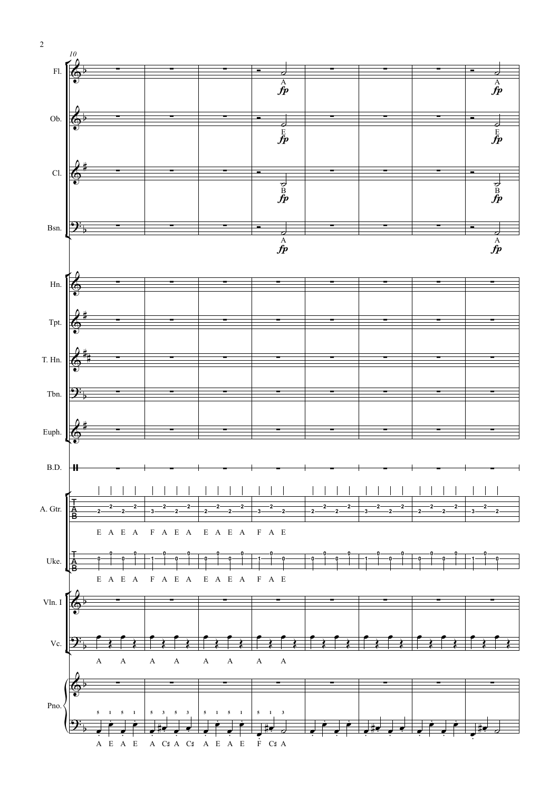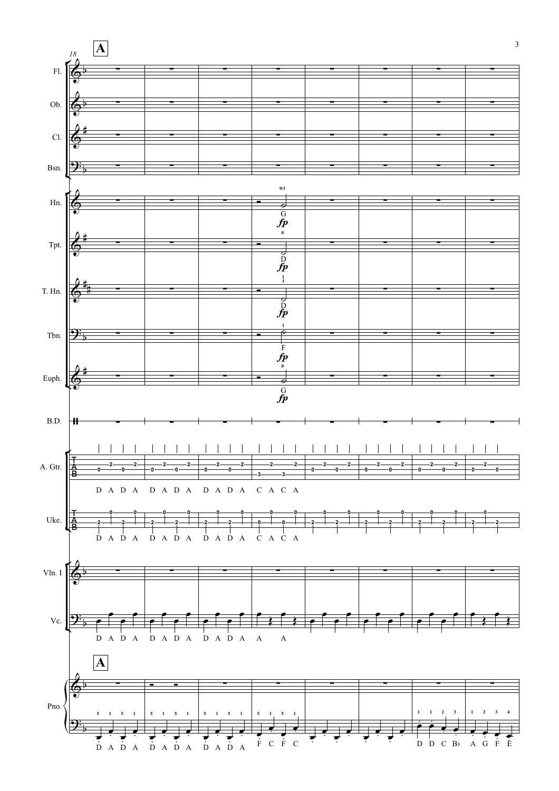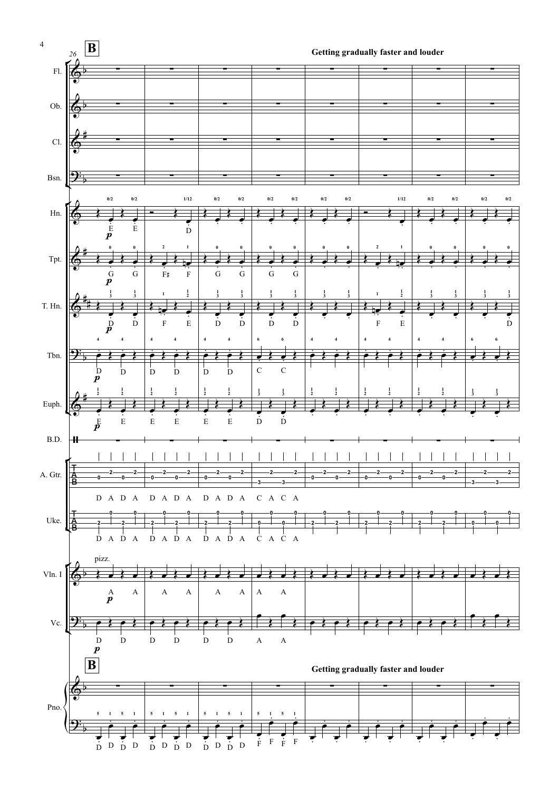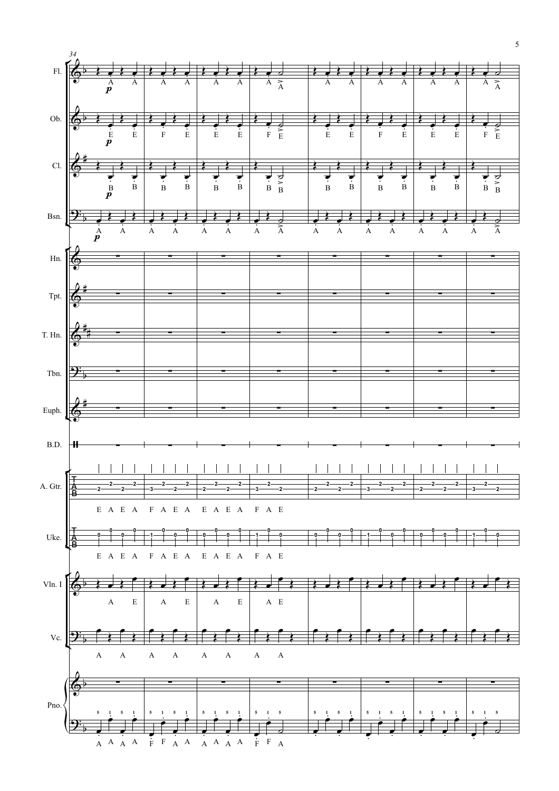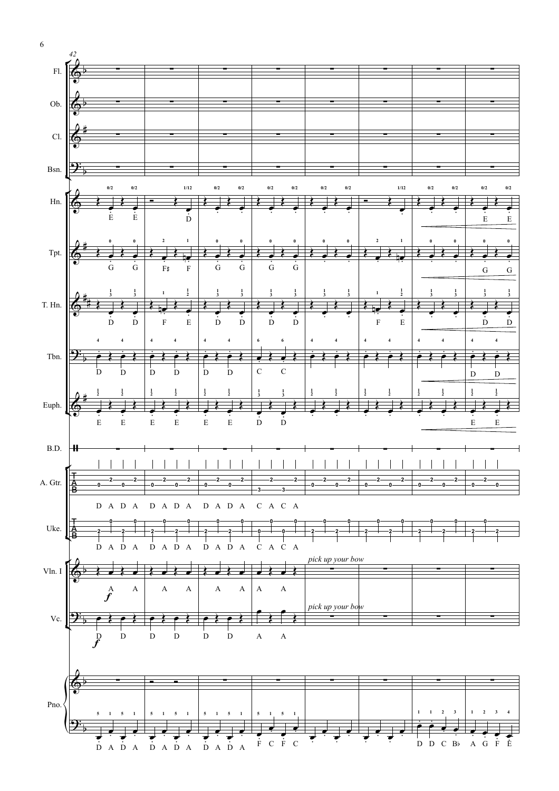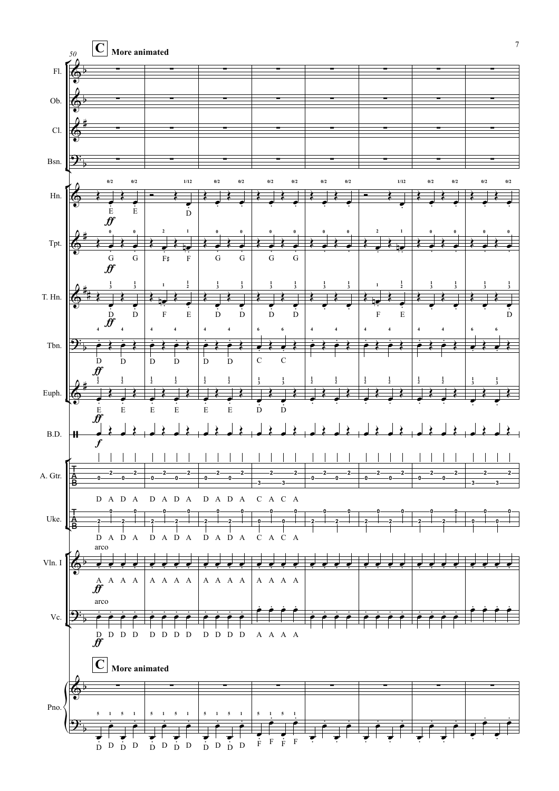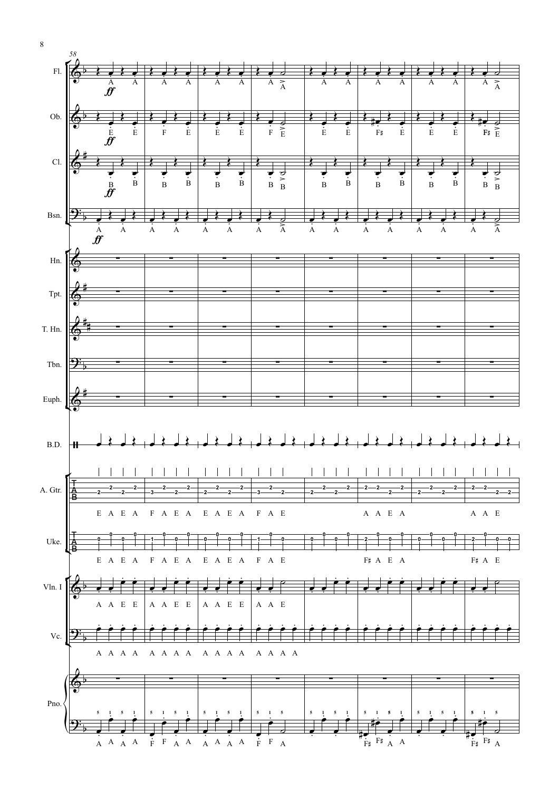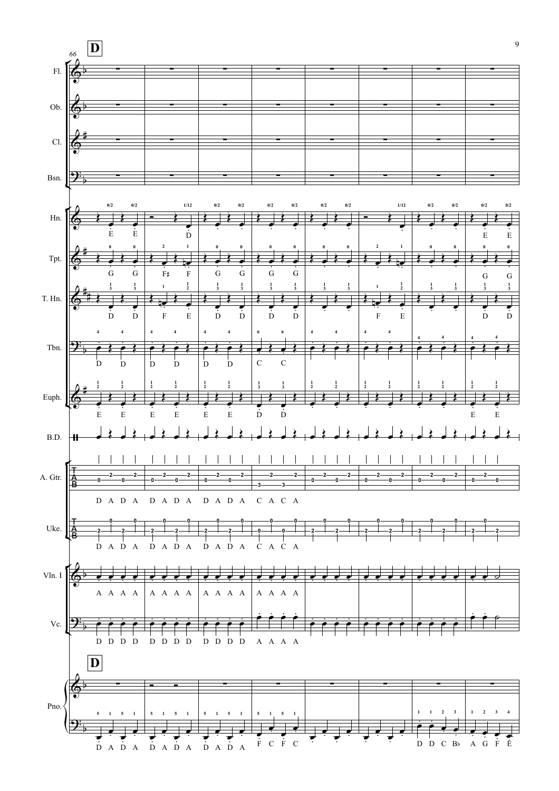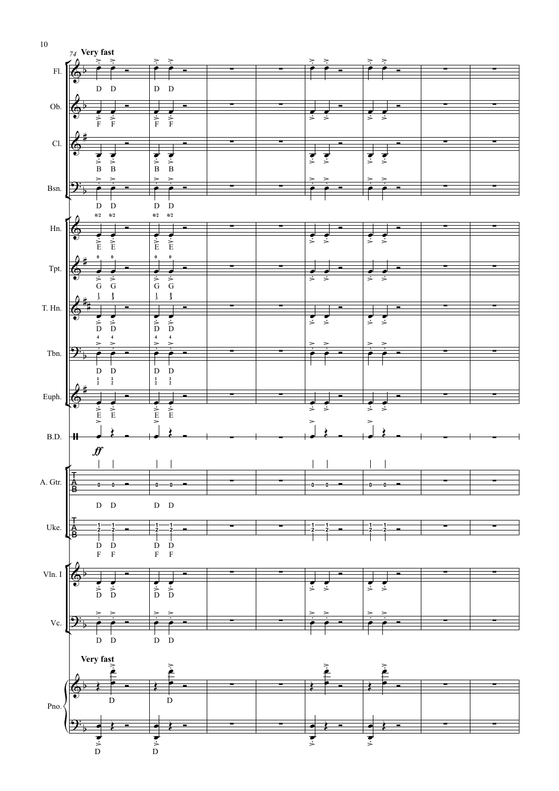